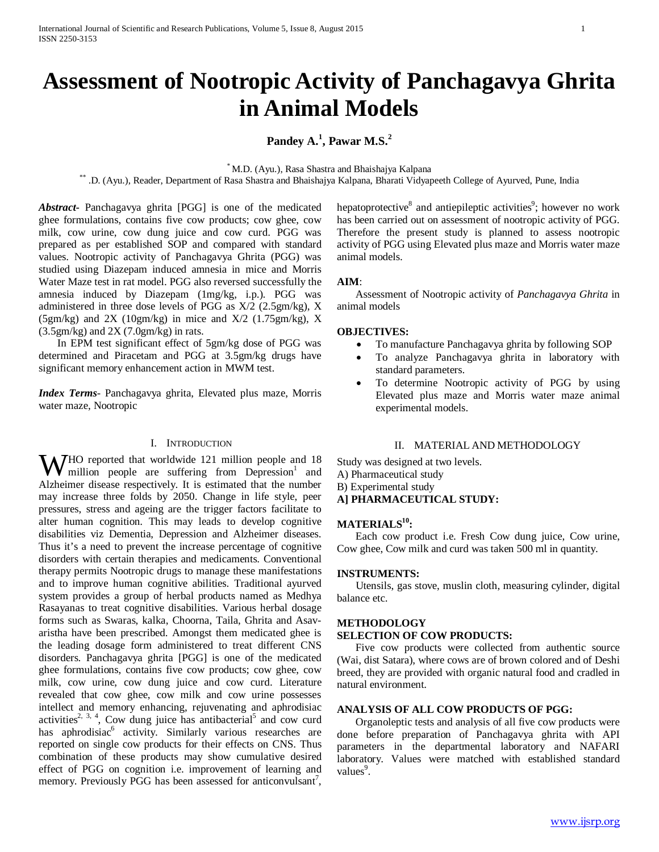# **Assessment of Nootropic Activity of Panchagavya Ghrita in Animal Models**

# **Pandey A.<sup>1</sup> , Pawar M.S.<sup>2</sup>**

\* M.D. (Ayu.), Rasa Shastra and Bhaishajya Kalpana \*\* .D. (Ayu.), Reader, Department of Rasa Shastra and Bhaishajya Kalpana, Bharati Vidyapeeth College of Ayurved, Pune, India

*Abstract***-** Panchagavya ghrita [PGG] is one of the medicated ghee formulations, contains five cow products; cow ghee, cow milk, cow urine, cow dung juice and cow curd. PGG was prepared as per established SOP and compared with standard values. Nootropic activity of Panchagavya Ghrita (PGG) was studied using Diazepam induced amnesia in mice and Morris Water Maze test in rat model. PGG also reversed successfully the amnesia induced by Diazepam (1mg/kg, i.p.). PGG was administered in three dose levels of PGG as X/2 (2.5gm/kg), X (5gm/kg) and 2X (10gm/kg) in mice and X/2 (1.75gm/kg), X  $(3.5gm/kg)$  and  $2X(7.0gm/kg)$  in rats.

 In EPM test significant effect of 5gm/kg dose of PGG was determined and Piracetam and PGG at 3.5gm/kg drugs have significant memory enhancement action in MWM test.

*Index Terms*- Panchagavya ghrita, Elevated plus maze, Morris water maze, Nootropic

## I. INTRODUCTION

**W**HO reported that worldwide 121 million people and 18 million people are suffering from Depression<sup>1</sup> and million people are suffering from  $Depression<sup>1</sup>$  and Alzheimer disease respectively. It is estimated that the number may increase three folds by 2050. Change in life style, peer pressures, stress and ageing are the trigger factors facilitate to alter human cognition. This may leads to develop cognitive disabilities viz Dementia, Depression and Alzheimer diseases. Thus it's a need to prevent the increase percentage of cognitive disorders with certain therapies and medicaments. Conventional therapy permits Nootropic drugs to manage these manifestations and to improve human cognitive abilities. Traditional ayurved system provides a group of herbal products named as Medhya Rasayanas to treat cognitive disabilities. Various herbal dosage forms such as Swaras, kalka, Choorna, Taila, Ghrita and Asavaristha have been prescribed. Amongst them medicated ghee is the leading dosage form administered to treat different CNS disorders. Panchagavya ghrita [PGG] is one of the medicated ghee formulations, contains five cow products; cow ghee, cow milk, cow urine, cow dung juice and cow curd. Literature revealed that cow ghee, cow milk and cow urine possesses intellect and memory enhancing, rejuvenating and aphrodisiac activities<sup>2, 3, 4</sup>, Cow dung juice has antibacterial<sup>5</sup> and cow curd has aphrodisiac<sup>6</sup> activity. Similarly various researches are reported on single cow products for their effects on CNS. Thus combination of these products may show cumulative desired effect of PGG on cognition i.e. improvement of learning and memory. Previously PGG has been assessed for anticonvulsant<sup>7</sup>,

hepatoprotective<sup>8</sup> and antiepileptic activities<sup>9</sup>; however no work has been carried out on assessment of nootropic activity of PGG. Therefore the present study is planned to assess nootropic activity of PGG using Elevated plus maze and Morris water maze animal models.

#### **AIM**:

 Assessment of Nootropic activity of *Panchagavya Ghrita* in animal models

## **OBJECTIVES:**

- To manufacture Panchagavya ghrita by following SOP
- To analyze Panchagavya ghrita in laboratory with standard parameters.
- To determine Nootropic activity of PGG by using Elevated plus maze and Morris water maze animal experimental models.

#### II. MATERIAL AND METHODOLOGY

Study was designed at two levels. A) Pharmaceutical study

- B) Experimental study
- **A] PHARMACEUTICAL STUDY:**

#### MATERIALS<sup>10</sup>:

 Each cow product i.e. Fresh Cow dung juice, Cow urine, Cow ghee, Cow milk and curd was taken 500 ml in quantity.

#### **INSTRUMENTS:**

 Utensils, gas stove, muslin cloth, measuring cylinder, digital balance etc.

## **METHODOLOGY**

#### **SELECTION OF COW PRODUCTS:**

 Five cow products were collected from authentic source (Wai, dist Satara), where cows are of brown colored and of Deshi breed, they are provided with organic natural food and cradled in natural environment.

## **ANALYSIS OF ALL COW PRODUCTS OF PGG:**

 Organoleptic tests and analysis of all five cow products were done before preparation of Panchagavya ghrita with API parameters in the departmental laboratory and NAFARI laboratory. Values were matched with established standard values<sup>9</sup>.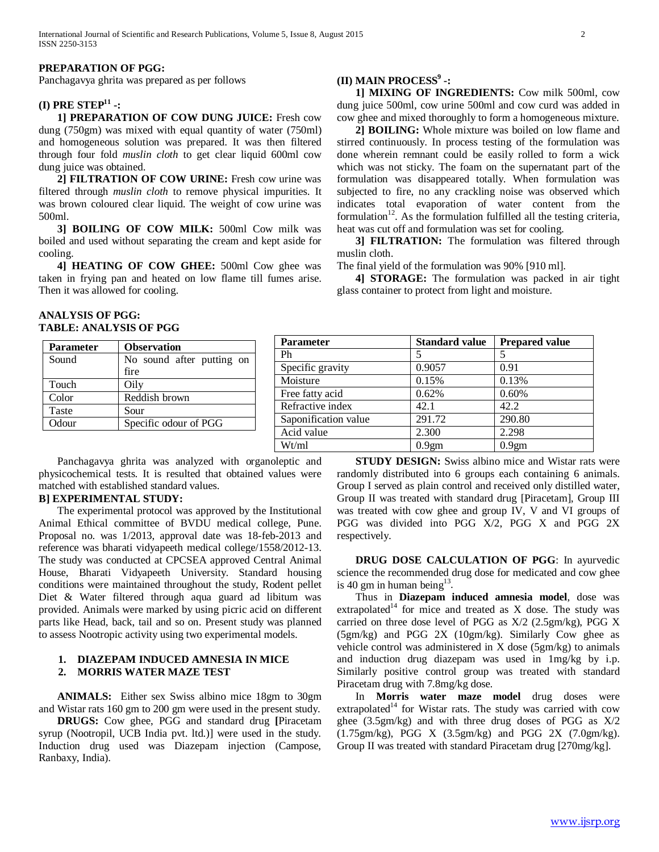#### **PREPARATION OF PGG:**

Panchagavya ghrita was prepared as per follows

## **(I) PRE STEP11 -:**

 **1] PREPARATION OF COW DUNG JUICE:** Fresh cow dung (750gm) was mixed with equal quantity of water (750ml) and homogeneous solution was prepared. It was then filtered through four fold *muslin cloth* to get clear liquid 600ml cow dung juice was obtained.

 **2] FILTRATION OF COW URINE:** Fresh cow urine was filtered through *muslin cloth* to remove physical impurities. It was brown coloured clear liquid. The weight of cow urine was 500ml.

 **3] BOILING OF COW MILK:** 500ml Cow milk was boiled and used without separating the cream and kept aside for cooling.

 **4] HEATING OF COW GHEE:** 500ml Cow ghee was taken in frying pan and heated on low flame till fumes arise. Then it was allowed for cooling.

## **(II) MAIN PROCESS9 -:**

 **1] MIXING OF INGREDIENTS:** Cow milk 500ml, cow dung juice 500ml, cow urine 500ml and cow curd was added in cow ghee and mixed thoroughly to form a homogeneous mixture.

 **2] BOILING:** Whole mixture was boiled on low flame and stirred continuously. In process testing of the formulation was done wherein remnant could be easily rolled to form a wick which was not sticky. The foam on the supernatant part of the formulation was disappeared totally. When formulation was subjected to fire, no any crackling noise was observed which indicates total evaporation of water content from the formulation<sup>12</sup>. As the formulation fulfilled all the testing criteria, heat was cut off and formulation was set for cooling.

 **3] FILTRATION:** The formulation was filtered through muslin cloth.

The final yield of the formulation was 90% [910 ml].

 **4] STORAGE:** The formulation was packed in air tight glass container to protect from light and moisture.

## **ANALYSIS OF PGG: TABLE: ANALYSIS OF PGG**

| <b>Parameter</b> | <b>Observation</b>        | <b>Parameter</b>     | <b>Standard value</b> | <b>Prepared value</b> |
|------------------|---------------------------|----------------------|-----------------------|-----------------------|
| Sound            | No sound after putting on | Ph                   |                       |                       |
|                  | fire                      | Specific gravity     | 0.9057                | 0.91                  |
| Touch            | Oily                      | Moisture             | 0.15%                 | 0.13%                 |
| Color            | Reddish brown             | Free fatty acid      | 0.62%                 | 0.60%                 |
| Taste            | Sour                      | Refractive index     | 42.1                  | 42.2                  |
| Odour            | Specific odour of PGG     | Saponification value | 291.72                | 290.80                |
|                  |                           | Acid value           | 2.300                 | 2.298                 |
|                  |                           | Wt/ml                | 0.9gm                 | 0.9 <sub>gm</sub>     |

 Panchagavya ghrita was analyzed with organoleptic and physicochemical tests. It is resulted that obtained values were matched with established standard values.

## **B] EXPERIMENTAL STUDY:**

 The experimental protocol was approved by the Institutional Animal Ethical committee of BVDU medical college, Pune. Proposal no. was 1/2013, approval date was 18-feb-2013 and reference was bharati vidyapeeth medical college/1558/2012-13. The study was conducted at CPCSEA approved Central Animal House, Bharati Vidyapeeth University. Standard housing conditions were maintained throughout the study, Rodent pellet Diet & Water filtered through aqua guard ad libitum was provided. Animals were marked by using picric acid on different parts like Head, back, tail and so on. Present study was planned to assess Nootropic activity using two experimental models.

## **1. DIAZEPAM INDUCED AMNESIA IN MICE 2. MORRIS WATER MAZE TEST**

 **ANIMALS:** Either sex Swiss albino mice 18gm to 30gm and Wistar rats 160 gm to 200 gm were used in the present study.

 **DRUGS:** Cow ghee, PGG and standard drug **[**Piracetam syrup (Nootropil, UCB India pvt. ltd.)] were used in the study. Induction drug used was Diazepam injection (Campose, Ranbaxy, India).

 **STUDY DESIGN:** Swiss albino mice and Wistar rats were randomly distributed into 6 groups each containing 6 animals. Group I served as plain control and received only distilled water, Group II was treated with standard drug [Piracetam], Group III was treated with cow ghee and group IV, V and VI groups of PGG was divided into PGG X/2, PGG X and PGG 2X respectively.

 **DRUG DOSE CALCULATION OF PGG**: In ayurvedic science the recommended drug dose for medicated and cow ghee is 40 gm in human being $13$ .

 Thus in **Diazepam induced amnesia model**, dose was  $extrapolated<sup>14</sup>$  for mice and treated as X dose. The study was carried on three dose level of PGG as X/2 (2.5gm/kg), PGG X (5gm/kg) and PGG 2X (10gm/kg). Similarly Cow ghee as vehicle control was administered in X dose (5gm/kg) to animals and induction drug diazepam was used in 1mg/kg by i.p. Similarly positive control group was treated with standard Piracetam drug with 7.8mg/kg dose.

 In **Morris water maze model** drug doses were extrapolated<sup>14</sup> for Wistar rats. The study was carried with cow ghee (3.5gm/kg) and with three drug doses of PGG as X/2 (1.75gm/kg), PGG X (3.5gm/kg) and PGG 2X (7.0gm/kg). Group II was treated with standard Piracetam drug [270mg/kg].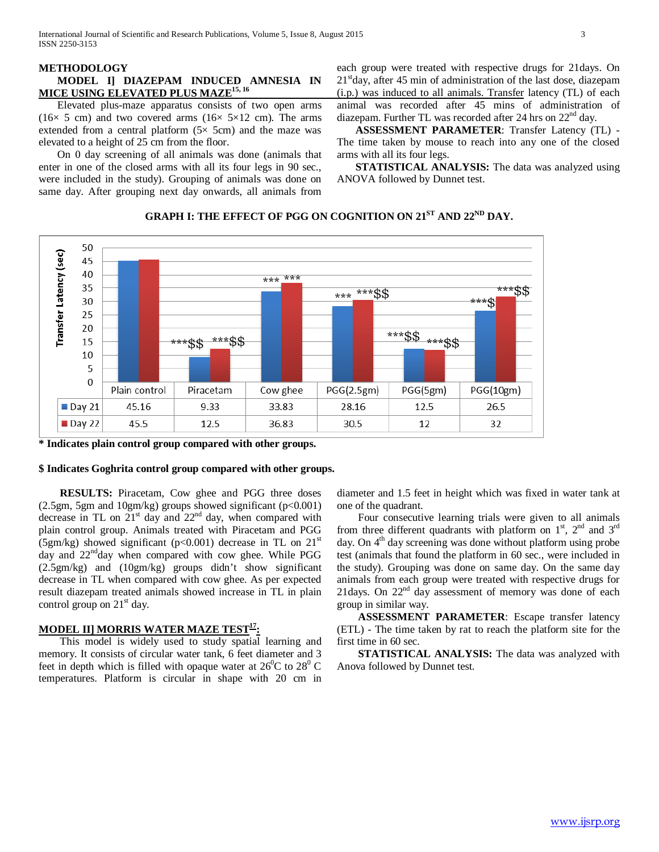## **MODEL I] DIAZEPAM INDUCED AMNESIA IN MICE USING ELEVATED PLUS MAZE15, 16**

 Elevated plus-maze apparatus consists of two open arms (16 $\times$  5 cm) and two covered arms (16 $\times$  5 $\times$ 12 cm). The arms extended from a central platform  $(5 \times 5 \text{cm})$  and the maze was elevated to a height of 25 cm from the floor.

 On 0 day screening of all animals was done (animals that enter in one of the closed arms with all its four legs in 90 sec., were included in the study). Grouping of animals was done on same day. After grouping next day onwards, all animals from each group were treated with respective drugs for 21days. On  $21<sup>st</sup>$ day, after 45 min of administration of the last dose, diazepam (i.p.) was induced to all animals. Transfer latency (TL) of each animal was recorded after 45 mins of administration of diazepam. Further TL was recorded after 24 hrs on 22<sup>nd</sup> day.

 **ASSESSMENT PARAMETER**: Transfer Latency (TL) - The time taken by mouse to reach into any one of the closed arms with all its four legs.

**STATISTICAL ANALYSIS:** The data was analyzed using ANOVA followed by Dunnet test.



# **GRAPH I: THE EFFECT OF PGG ON COGNITION ON 21ST AND 22ND DAY.**

**\* Indicates plain control group compared with other groups.**

### **\$ Indicates Goghrita control group compared with other groups.**

 **RESULTS:** Piracetam, Cow ghee and PGG three doses  $(2.5gm, 5gm, and 10gm/kg)$  groups showed significant (p<0.001) decrease in TL on  $21<sup>st</sup>$  day and  $22<sup>nd</sup>$  day, when compared with plain control group. Animals treated with Piracetam and PGG (5gm/kg) showed significant (p<0.001) decrease in TL on  $21<sup>st</sup>$ day and  $22<sup>nd</sup>$ day when compared with cow ghee. While PGG (2.5gm/kg) and (10gm/kg) groups didn't show significant decrease in TL when compared with cow ghee. As per expected result diazepam treated animals showed increase in TL in plain control group on  $21<sup>st</sup>$  day.

## **MODEL II] MORRIS WATER MAZE TEST<sup>17</sup>:**

This model is widely used to study spatial learning and memory. It consists of circular water tank, 6 feet diameter and 3 feet in depth which is filled with opaque water at  $26^{\circ}$ C to  $28^{\circ}$ C temperatures. Platform is circular in shape with 20 cm in

diameter and 1.5 feet in height which was fixed in water tank at one of the quadrant.

Four consecutive learning trials were given to all animals from three different quadrants with platform on  $1<sup>st</sup>$ ,  $2<sup>nd</sup>$  and  $3<sup>rd</sup>$ day. On 4<sup>th</sup> day screening was done without platform using probe test (animals that found the platform in 60 sec., were included in the study). Grouping was done on same day. On the same day animals from each group were treated with respective drugs for 21days. On 22<sup>nd</sup> day assessment of memory was done of each group in similar way.

 **ASSESSMENT PARAMETER**: Escape transfer latency (ETL) - The time taken by rat to reach the platform site for the first time in 60 sec.

 **STATISTICAL ANALYSIS:** The data was analyzed with Anova followed by Dunnet test.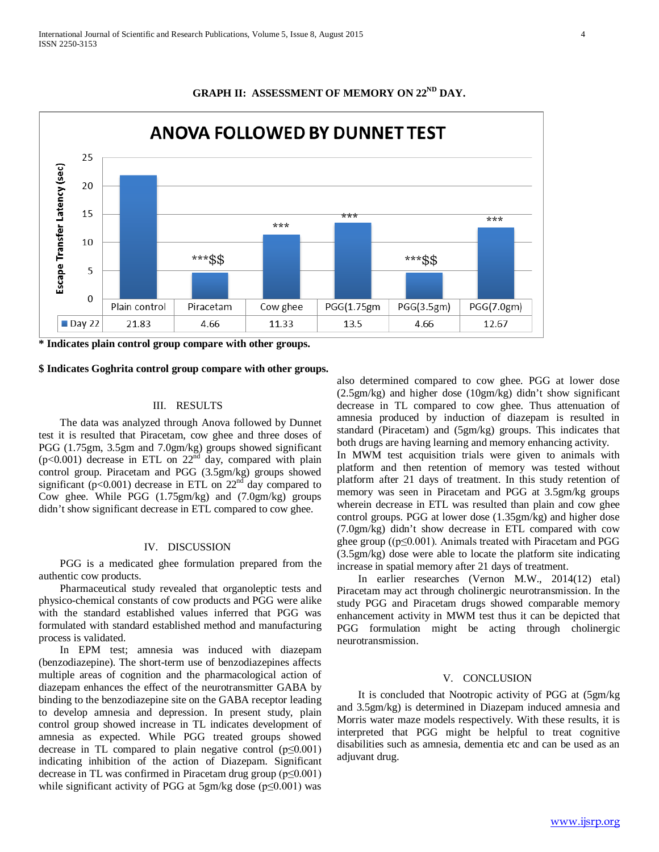

## GRAPH II: ASSESSMENT OF MEMORY ON 22<sup>ND</sup> DAY.

**\* Indicates plain control group compare with other groups.**

#### **\$ Indicates Goghrita control group compare with other groups.**

### III. RESULTS

The data was analyzed through Anova followed by Dunnet test it is resulted that Piracetam, cow ghee and three doses of PGG (1.75gm, 3.5gm and 7.0gm/kg) groups showed significant  $(p<0.001)$  decrease in ETL on  $22<sup>nd</sup>$  day, compared with plain control group. Piracetam and PGG (3.5gm/kg) groups showed significant ( $p<0.001$ ) decrease in ETL on  $22<sup>nd</sup>$  day compared to Cow ghee. While PGG (1.75gm/kg) and (7.0gm/kg) groups didn't show significant decrease in ETL compared to cow ghee.

#### IV. DISCUSSION

PGG is a medicated ghee formulation prepared from the authentic cow products.

Pharmaceutical study revealed that organoleptic tests and physico-chemical constants of cow products and PGG were alike with the standard established values inferred that PGG was formulated with standard established method and manufacturing process is validated.

In EPM test; amnesia was induced with diazepam (benzodiazepine). The short-term use of benzodiazepines affects multiple areas of cognition and the pharmacological action of diazepam enhances the effect of the neurotransmitter GABA by binding to the benzodiazepine site on the GABA receptor leading to develop amnesia and depression. In present study, plain control group showed increase in TL indicates development of amnesia as expected. While PGG treated groups showed decrease in TL compared to plain negative control  $(p \le 0.001)$ indicating inhibition of the action of Diazepam. Significant decrease in TL was confirmed in Piracetam drug group (p≤0.001) while significant activity of PGG at 5gm/kg dose ( $p \le 0.001$ ) was

also determined compared to cow ghee. PGG at lower dose (2.5gm/kg) and higher dose (10gm/kg) didn't show significant decrease in TL compared to cow ghee. Thus attenuation of amnesia produced by induction of diazepam is resulted in standard (Piracetam) and (5gm/kg) groups. This indicates that both drugs are having learning and memory enhancing activity.

In MWM test acquisition trials were given to animals with platform and then retention of memory was tested without platform after 21 days of treatment. In this study retention of memory was seen in Piracetam and PGG at 3.5gm/kg groups wherein decrease in ETL was resulted than plain and cow ghee control groups. PGG at lower dose (1.35gm/kg) and higher dose (7.0gm/kg) didn't show decrease in ETL compared with cow ghee group ( $(p \le 0.001)$ ). Animals treated with Piracetam and PGG (3.5gm/kg) dose were able to locate the platform site indicating increase in spatial memory after 21 days of treatment.

In earlier researches (Vernon M.W., 2014(12) etal) Piracetam may act through cholinergic neurotransmission. In the study PGG and Piracetam drugs showed comparable memory enhancement activity in MWM test thus it can be depicted that PGG formulation might be acting through cholinergic neurotransmission.

#### V. CONCLUSION

It is concluded that Nootropic activity of PGG at (5gm/kg and 3.5gm/kg) is determined in Diazepam induced amnesia and Morris water maze models respectively. With these results, it is interpreted that PGG might be helpful to treat cognitive disabilities such as amnesia, dementia etc and can be used as an adjuvant drug.